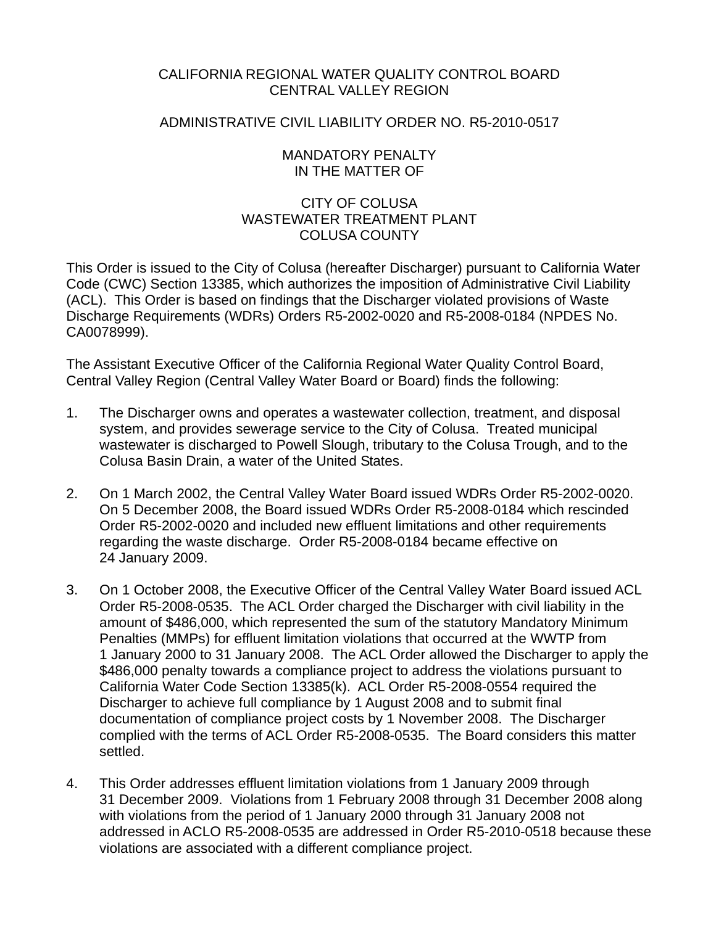### CALIFORNIA REGIONAL WATER QUALITY CONTROL BOARD CENTRAL VALLEY REGION

### ADMINISTRATIVE CIVIL LIABILITY ORDER NO. R5-2010-0517

### MANDATORY PENALTY IN THE MATTER OF

### CITY OF COLUSA WASTEWATER TREATMENT PLANT COLUSA COUNTY

This Order is issued to the City of Colusa (hereafter Discharger) pursuant to California Water Code (CWC) Section 13385, which authorizes the imposition of Administrative Civil Liability (ACL). This Order is based on findings that the Discharger violated provisions of Waste Discharge Requirements (WDRs) Orders R5-2002-0020 and R5-2008-0184 (NPDES No. CA0078999).

The Assistant Executive Officer of the California Regional Water Quality Control Board, Central Valley Region (Central Valley Water Board or Board) finds the following:

- 1. The Discharger owns and operates a wastewater collection, treatment, and disposal system, and provides sewerage service to the City of Colusa. Treated municipal wastewater is discharged to Powell Slough, tributary to the Colusa Trough, and to the Colusa Basin Drain, a water of the United States.
- 2. On 1 March 2002, the Central Valley Water Board issued WDRs Order R5-2002-0020. On 5 December 2008, the Board issued WDRs Order R5-2008-0184 which rescinded Order R5-2002-0020 and included new effluent limitations and other requirements regarding the waste discharge. Order R5-2008-0184 became effective on 24 January 2009.
- 3. On 1 October 2008, the Executive Officer of the Central Valley Water Board issued ACL Order R5-2008-0535. The ACL Order charged the Discharger with civil liability in the amount of \$486,000, which represented the sum of the statutory Mandatory Minimum Penalties (MMPs) for effluent limitation violations that occurred at the WWTP from 1 January 2000 to 31 January 2008. The ACL Order allowed the Discharger to apply the \$486,000 penalty towards a compliance project to address the violations pursuant to California Water Code Section 13385(k). ACL Order R5-2008-0554 required the Discharger to achieve full compliance by 1 August 2008 and to submit final documentation of compliance project costs by 1 November 2008. The Discharger complied with the terms of ACL Order R5-2008-0535. The Board considers this matter settled.
- 4. This Order addresses effluent limitation violations from 1 January 2009 through 31 December 2009. Violations from 1 February 2008 through 31 December 2008 along with violations from the period of 1 January 2000 through 31 January 2008 not addressed in ACLO R5-2008-0535 are addressed in Order R5-2010-0518 because these violations are associated with a different compliance project.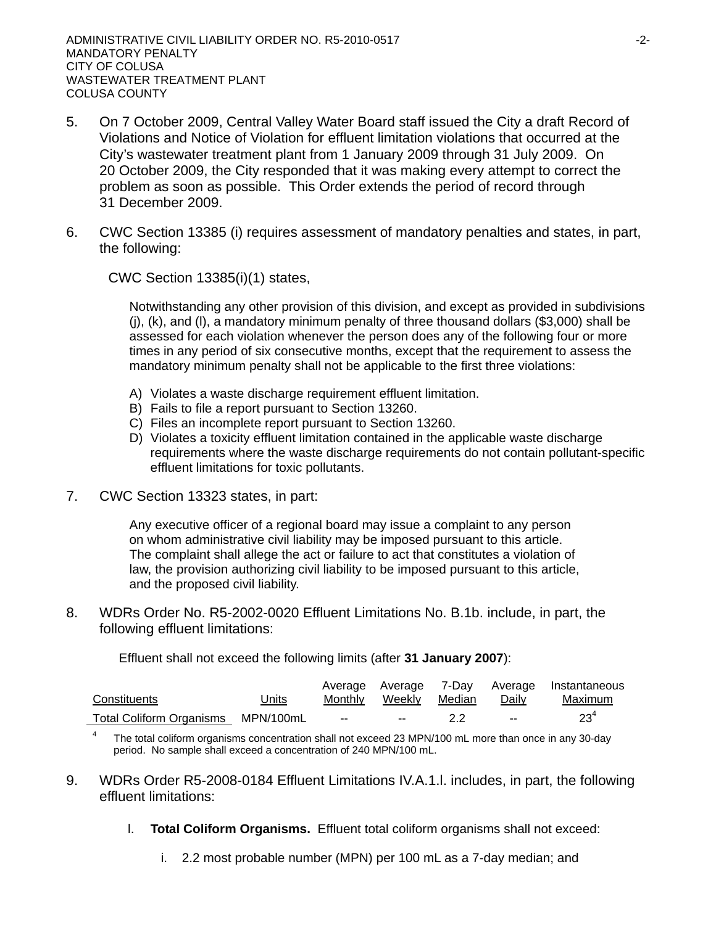- 5. On 7 October 2009, Central Valley Water Board staff issued the City a draft Record of Violations and Notice of Violation for effluent limitation violations that occurred at the City's wastewater treatment plant from 1 January 2009 through 31 July 2009. On 20 October 2009, the City responded that it was making every attempt to correct the problem as soon as possible. This Order extends the period of record through 31 December 2009.
- 6. CWC Section 13385 (i) requires assessment of mandatory penalties and states, in part, the following:

CWC Section 13385(i)(1) states,

Notwithstanding any other provision of this division, and except as provided in subdivisions (j), (k), and (l), a mandatory minimum penalty of three thousand dollars (\$3,000) shall be assessed for each violation whenever the person does any of the following four or more times in any period of six consecutive months, except that the requirement to assess the mandatory minimum penalty shall not be applicable to the first three violations:

- A) Violates a waste discharge requirement effluent limitation.
- B) Fails to file a report pursuant to Section 13260.
- C) Files an incomplete report pursuant to Section 13260.
- D) Violates a toxicity effluent limitation contained in the applicable waste discharge requirements where the waste discharge requirements do not contain pollutant-specific effluent limitations for toxic pollutants.
- 7. CWC Section 13323 states, in part:

Any executive officer of a regional board may issue a complaint to any person on whom administrative civil liability may be imposed pursuant to this article. The complaint shall allege the act or failure to act that constitutes a violation of law, the provision authorizing civil liability to be imposed pursuant to this article, and the proposed civil liability.

8. WDRs Order No. R5-2002-0020 Effluent Limitations No. B.1b. include, in part, the following effluent limitations:

Effluent shall not exceed the following limits (after **31 January 2007**):

|                                    |       |               |                       |               | Average Average 7-Day Average Instantaneous |
|------------------------------------|-------|---------------|-----------------------|---------------|---------------------------------------------|
| Constituents                       | Jnits |               | Monthly Weekly Median | <u>Daily</u>  | Maximum                                     |
| Total Coliform Organisms MPN/100mL |       | $\sim$ $\sim$ | $\sim$ $\sim$         | $\sim$ $\sim$ | 23"                                         |

4 The total coliform organisms concentration shall not exceed 23 MPN/100 mL more than once in any 30-day period. No sample shall exceed a concentration of 240 MPN/100 mL.

- 9. WDRs Order R5-2008-0184 Effluent Limitations IV.A.1.l. includes, in part, the following effluent limitations:
	- l. **Total Coliform Organisms.** Effluent total coliform organisms shall not exceed:
		- i. 2.2 most probable number (MPN) per 100 mL as a 7-day median; and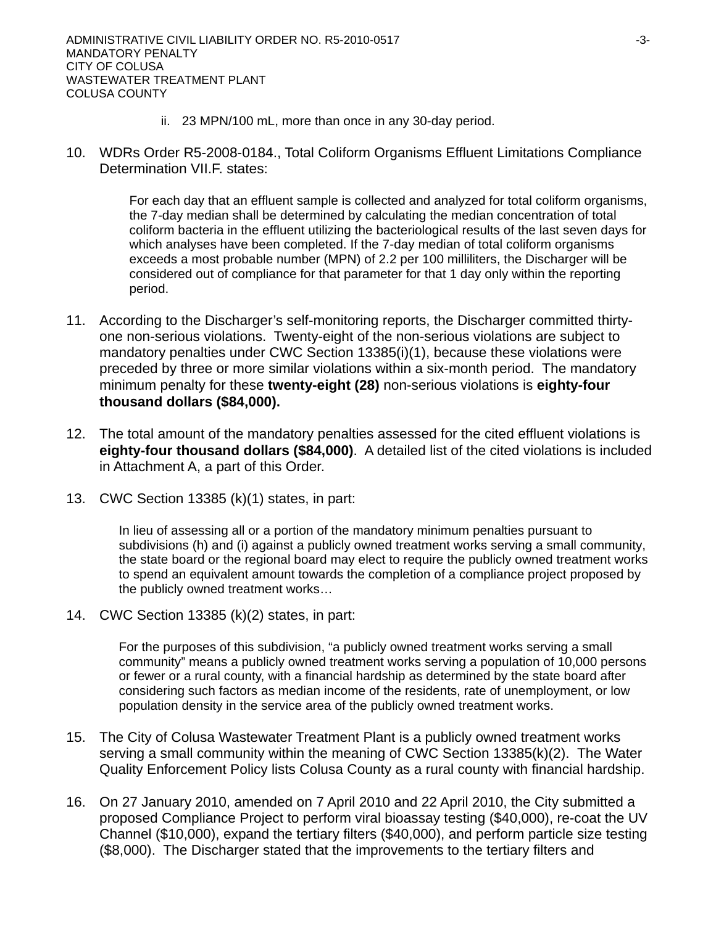- ii. 23 MPN/100 mL, more than once in any 30-day period.
- 10. WDRs Order R5-2008-0184., Total Coliform Organisms Effluent Limitations Compliance Determination VII.F. states:

For each day that an effluent sample is collected and analyzed for total coliform organisms, the 7-day median shall be determined by calculating the median concentration of total coliform bacteria in the effluent utilizing the bacteriological results of the last seven days for which analyses have been completed. If the 7-day median of total coliform organisms exceeds a most probable number (MPN) of 2.2 per 100 milliliters, the Discharger will be considered out of compliance for that parameter for that 1 day only within the reporting period.

- 11. According to the Discharger's self-monitoring reports, the Discharger committed thirtyone non-serious violations. Twenty-eight of the non-serious violations are subject to mandatory penalties under CWC Section 13385(i)(1), because these violations were preceded by three or more similar violations within a six-month period. The mandatory minimum penalty for these **twenty-eight (28)** non-serious violations is **eighty-four thousand dollars (\$84,000).**
- 12. The total amount of the mandatory penalties assessed for the cited effluent violations is **eighty-four thousand dollars (\$84,000)**. A detailed list of the cited violations is included in Attachment A, a part of this Order.
- 13. CWC Section 13385 (k)(1) states, in part:

In lieu of assessing all or a portion of the mandatory minimum penalties pursuant to subdivisions (h) and (i) against a publicly owned treatment works serving a small community, the state board or the regional board may elect to require the publicly owned treatment works to spend an equivalent amount towards the completion of a compliance project proposed by the publicly owned treatment works…

14. CWC Section 13385 (k)(2) states, in part:

For the purposes of this subdivision, "a publicly owned treatment works serving a small community" means a publicly owned treatment works serving a population of 10,000 persons or fewer or a rural county, with a financial hardship as determined by the state board after considering such factors as median income of the residents, rate of unemployment, or low population density in the service area of the publicly owned treatment works.

- 15. The City of Colusa Wastewater Treatment Plant is a publicly owned treatment works serving a small community within the meaning of CWC Section 13385(k)(2). The Water Quality Enforcement Policy lists Colusa County as a rural county with financial hardship.
- 16. On 27 January 2010, amended on 7 April 2010 and 22 April 2010, the City submitted a proposed Compliance Project to perform viral bioassay testing (\$40,000), re-coat the UV Channel (\$10,000), expand the tertiary filters (\$40,000), and perform particle size testing (\$8,000). The Discharger stated that the improvements to the tertiary filters and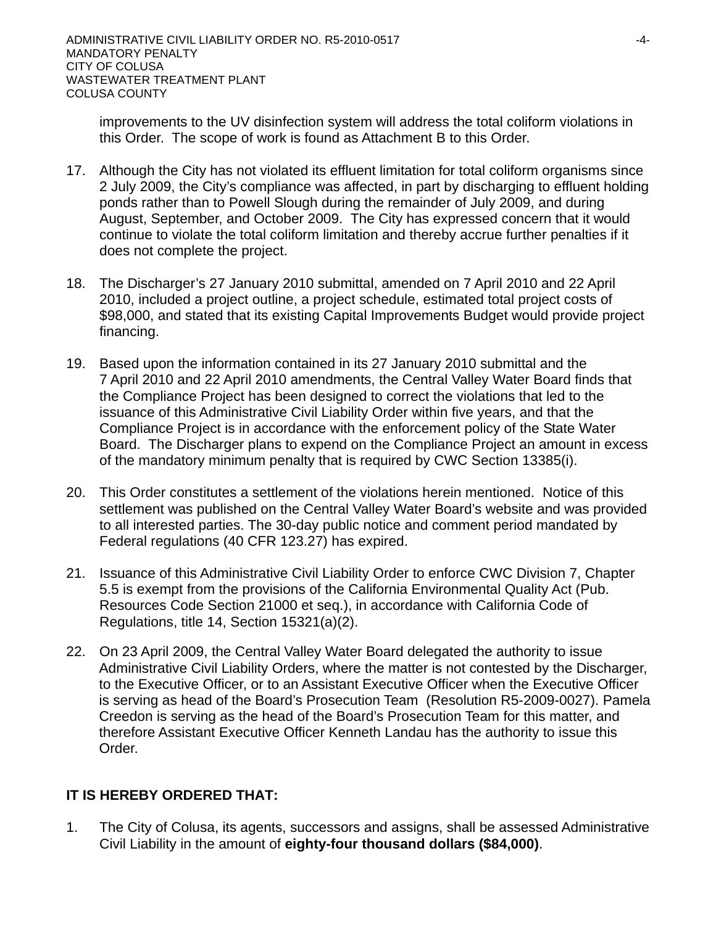improvements to the UV disinfection system will address the total coliform violations in this Order. The scope of work is found as Attachment B to this Order.

- 17. Although the City has not violated its effluent limitation for total coliform organisms since 2 July 2009, the City's compliance was affected, in part by discharging to effluent holding ponds rather than to Powell Slough during the remainder of July 2009, and during August, September, and October 2009. The City has expressed concern that it would continue to violate the total coliform limitation and thereby accrue further penalties if it does not complete the project.
- 18. The Discharger's 27 January 2010 submittal, amended on 7 April 2010 and 22 April 2010, included a project outline, a project schedule, estimated total project costs of \$98,000, and stated that its existing Capital Improvements Budget would provide project financing.
- 19. Based upon the information contained in its 27 January 2010 submittal and the 7 April 2010 and 22 April 2010 amendments, the Central Valley Water Board finds that the Compliance Project has been designed to correct the violations that led to the issuance of this Administrative Civil Liability Order within five years, and that the Compliance Project is in accordance with the enforcement policy of the State Water Board. The Discharger plans to expend on the Compliance Project an amount in excess of the mandatory minimum penalty that is required by CWC Section 13385(i).
- 20. This Order constitutes a settlement of the violations herein mentioned. Notice of this settlement was published on the Central Valley Water Board's website and was provided to all interested parties. The 30-day public notice and comment period mandated by Federal regulations (40 CFR 123.27) has expired.
- 21. Issuance of this Administrative Civil Liability Order to enforce CWC Division 7, Chapter 5.5 is exempt from the provisions of the California Environmental Quality Act (Pub. Resources Code Section 21000 et seq.), in accordance with California Code of Regulations, title 14, Section 15321(a)(2).
- 22. On 23 April 2009, the Central Valley Water Board delegated the authority to issue Administrative Civil Liability Orders, where the matter is not contested by the Discharger, to the Executive Officer, or to an Assistant Executive Officer when the Executive Officer is serving as head of the Board's Prosecution Team (Resolution R5-2009-0027). Pamela Creedon is serving as the head of the Board's Prosecution Team for this matter, and therefore Assistant Executive Officer Kenneth Landau has the authority to issue this Order.

# **IT IS HEREBY ORDERED THAT:**

1. The City of Colusa, its agents, successors and assigns, shall be assessed Administrative Civil Liability in the amount of **eighty-four thousand dollars (\$84,000)**.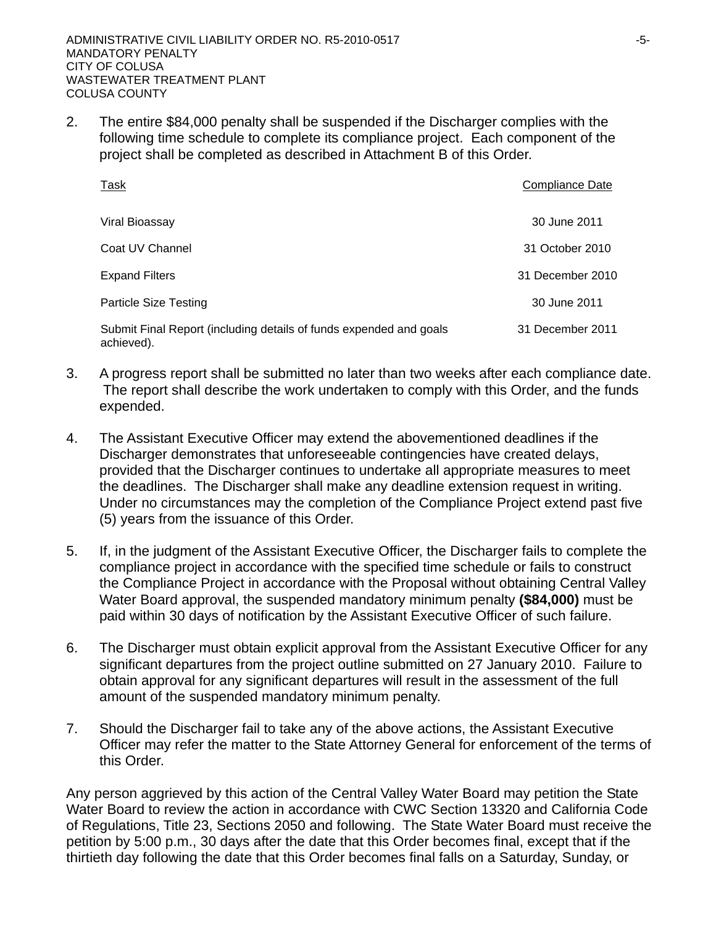2. The entire \$84,000 penalty shall be suspended if the Discharger complies with the following time schedule to complete its compliance project. Each component of the project shall be completed as described in Attachment B of this Order.

| <b>Task</b>                                                                      | Compliance Date  |
|----------------------------------------------------------------------------------|------------------|
| Viral Bioassay                                                                   | 30 June 2011     |
| Coat UV Channel                                                                  | 31 October 2010  |
| <b>Expand Filters</b>                                                            | 31 December 2010 |
| <b>Particle Size Testing</b>                                                     | 30 June 2011     |
| Submit Final Report (including details of funds expended and goals<br>achieved). | 31 December 2011 |

- 3. A progress report shall be submitted no later than two weeks after each compliance date. The report shall describe the work undertaken to comply with this Order, and the funds expended.
- 4. The Assistant Executive Officer may extend the abovementioned deadlines if the Discharger demonstrates that unforeseeable contingencies have created delays, provided that the Discharger continues to undertake all appropriate measures to meet the deadlines. The Discharger shall make any deadline extension request in writing. Under no circumstances may the completion of the Compliance Project extend past five (5) years from the issuance of this Order.
- 5. If, in the judgment of the Assistant Executive Officer, the Discharger fails to complete the compliance project in accordance with the specified time schedule or fails to construct the Compliance Project in accordance with the Proposal without obtaining Central Valley Water Board approval, the suspended mandatory minimum penalty **(\$84,000)** must be paid within 30 days of notification by the Assistant Executive Officer of such failure.
- 6. The Discharger must obtain explicit approval from the Assistant Executive Officer for any significant departures from the project outline submitted on 27 January 2010. Failure to obtain approval for any significant departures will result in the assessment of the full amount of the suspended mandatory minimum penalty.
- 7. Should the Discharger fail to take any of the above actions, the Assistant Executive Officer may refer the matter to the State Attorney General for enforcement of the terms of this Order.

Any person aggrieved by this action of the Central Valley Water Board may petition the State Water Board to review the action in accordance with CWC Section 13320 and California Code of Regulations, Title 23, Sections 2050 and following. The State Water Board must receive the petition by 5:00 p.m., 30 days after the date that this Order becomes final, except that if the thirtieth day following the date that this Order becomes final falls on a Saturday, Sunday, or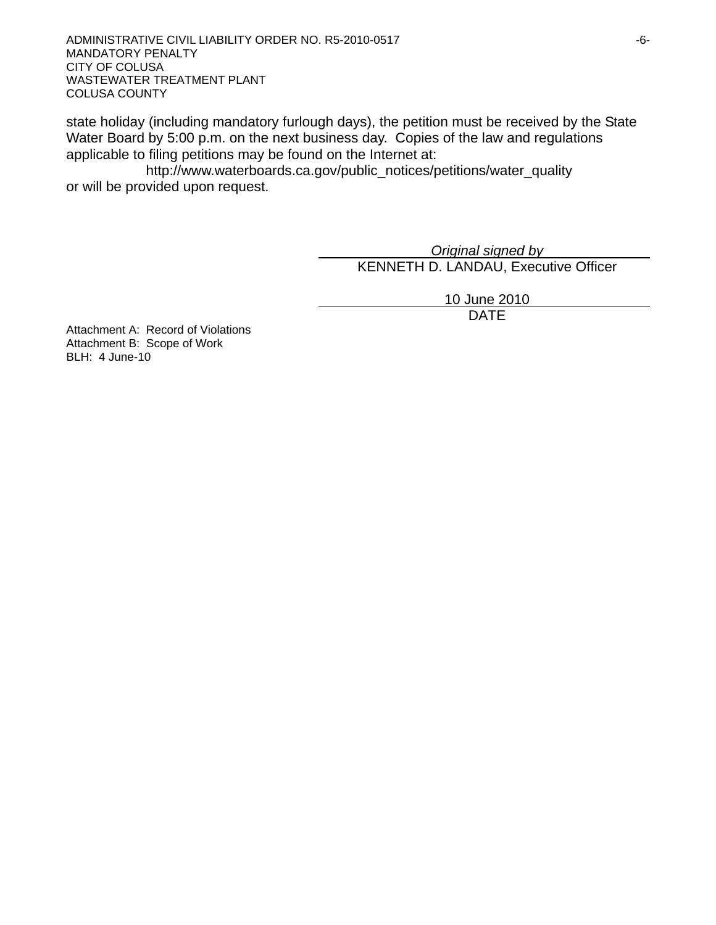ADMINISTRATIVE CIVIL LIABILITY ORDER NO. R5-2010-0517 **FOULD ASSESSED ASSAULT** CONTROLLER TO A 16-MANDATORY PENALTY CITY OF COLUSA WASTEWATER TREATMENT PLANT COLUSA COUNTY

state holiday (including mandatory furlough days), the petition must be received by the State Water Board by 5:00 p.m. on the next business day. Copies of the law and regulations applicable to filing petitions may be found on the Internet at:

http://www.waterboards.ca.gov/public\_notices/petitions/water\_quality or will be provided upon request.

> *Original signed by* KENNETH D. LANDAU, Executive Officer

> > 10 June 2010

design and the contract of the contract of the DATE of the contract of the contract of the contract of the contract of the contract of the contract of the contract of the contract of the contract of the contract of the con

Attachment A: Record of Violations Attachment B: Scope of Work BLH: 4 June-10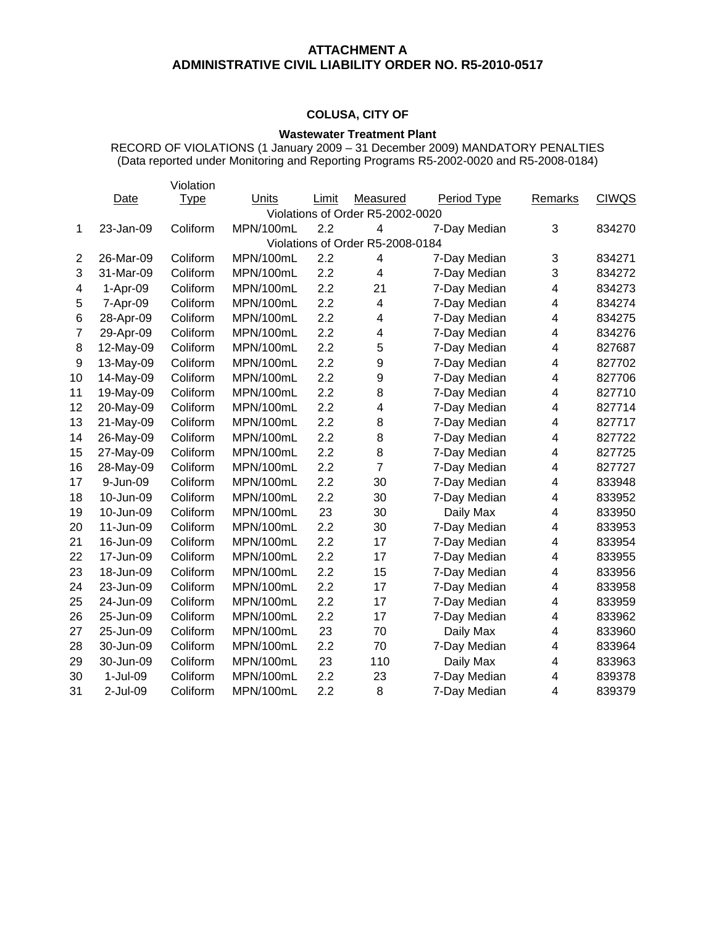### **ATTACHMENT A ADMINISTRATIVE CIVIL LIABILITY ORDER NO. R5-2010-0517**

### **COLUSA, CITY OF**

#### **Wastewater Treatment Plant**

RECORD OF VIOLATIONS (1 January 2009 – 31 December 2009) MANDATORY PENALTIES (Data reported under Monitoring and Reporting Programs R5-2002-0020 and R5-2008-0184)

|                  |           | Violation   |           |       |                                  |              |                |              |
|------------------|-----------|-------------|-----------|-------|----------------------------------|--------------|----------------|--------------|
|                  | Date      | <b>Type</b> | Units     | Limit | Measured                         | Period Type  | <b>Remarks</b> | <b>CIWQS</b> |
|                  |           |             |           |       | Violations of Order R5-2002-0020 |              |                |              |
| 1                | 23-Jan-09 | Coliform    | MPN/100mL | 2.2   | 4                                | 7-Day Median | 3              | 834270       |
|                  |           |             |           |       | Violations of Order R5-2008-0184 |              |                |              |
| $\overline{2}$   | 26-Mar-09 | Coliform    | MPN/100mL | 2.2   | 4                                | 7-Day Median | 3              | 834271       |
| 3                | 31-Mar-09 | Coliform    | MPN/100mL | 2.2   | $\overline{\mathbf{4}}$          | 7-Day Median | 3              | 834272       |
| 4                | 1-Apr-09  | Coliform    | MPN/100mL | 2.2   | 21                               | 7-Day Median | 4              | 834273       |
| 5                | 7-Apr-09  | Coliform    | MPN/100mL | 2.2   | 4                                | 7-Day Median | 4              | 834274       |
| 6                | 28-Apr-09 | Coliform    | MPN/100mL | 2.2   | 4                                | 7-Day Median | 4              | 834275       |
| $\overline{7}$   | 29-Apr-09 | Coliform    | MPN/100mL | 2.2   | 4                                | 7-Day Median | 4              | 834276       |
| 8                | 12-May-09 | Coliform    | MPN/100mL | 2.2   | 5                                | 7-Day Median | 4              | 827687       |
| $\boldsymbol{9}$ | 13-May-09 | Coliform    | MPN/100mL | 2.2   | $\boldsymbol{9}$                 | 7-Day Median | 4              | 827702       |
| 10               | 14-May-09 | Coliform    | MPN/100mL | 2.2   | $\boldsymbol{9}$                 | 7-Day Median | 4              | 827706       |
| 11               | 19-May-09 | Coliform    | MPN/100mL | 2.2   | 8                                | 7-Day Median | 4              | 827710       |
| 12               | 20-May-09 | Coliform    | MPN/100mL | 2.2   | 4                                | 7-Day Median | 4              | 827714       |
| 13               | 21-May-09 | Coliform    | MPN/100mL | 2.2   | 8                                | 7-Day Median | 4              | 827717       |
| 14               | 26-May-09 | Coliform    | MPN/100mL | 2.2   | 8                                | 7-Day Median | 4              | 827722       |
| 15               | 27-May-09 | Coliform    | MPN/100mL | 2.2   | 8                                | 7-Day Median | 4              | 827725       |
| 16               | 28-May-09 | Coliform    | MPN/100mL | 2.2   | $\overline{7}$                   | 7-Day Median | 4              | 827727       |
| 17               | 9-Jun-09  | Coliform    | MPN/100mL | 2.2   | 30                               | 7-Day Median | 4              | 833948       |
| 18               | 10-Jun-09 | Coliform    | MPN/100mL | 2.2   | 30                               | 7-Day Median | 4              | 833952       |
| 19               | 10-Jun-09 | Coliform    | MPN/100mL | 23    | 30                               | Daily Max    | 4              | 833950       |
| 20               | 11-Jun-09 | Coliform    | MPN/100mL | 2.2   | 30                               | 7-Day Median | 4              | 833953       |
| 21               | 16-Jun-09 | Coliform    | MPN/100mL | 2.2   | 17                               | 7-Day Median | 4              | 833954       |
| 22               | 17-Jun-09 | Coliform    | MPN/100mL | 2.2   | 17                               | 7-Day Median | 4              | 833955       |
| 23               | 18-Jun-09 | Coliform    | MPN/100mL | 2.2   | 15                               | 7-Day Median | 4              | 833956       |
| 24               | 23-Jun-09 | Coliform    | MPN/100mL | 2.2   | 17                               | 7-Day Median | 4              | 833958       |
| 25               | 24-Jun-09 | Coliform    | MPN/100mL | 2.2   | 17                               | 7-Day Median | 4              | 833959       |
| 26               | 25-Jun-09 | Coliform    | MPN/100mL | 2.2   | 17                               | 7-Day Median | 4              | 833962       |
| 27               | 25-Jun-09 | Coliform    | MPN/100mL | 23    | 70                               | Daily Max    | 4              | 833960       |
| 28               | 30-Jun-09 | Coliform    | MPN/100mL | 2.2   | 70                               | 7-Day Median | 4              | 833964       |
| 29               | 30-Jun-09 | Coliform    | MPN/100mL | 23    | 110                              | Daily Max    | 4              | 833963       |
| 30               | 1-Jul-09  | Coliform    | MPN/100mL | 2.2   | 23                               | 7-Day Median | 4              | 839378       |
| 31               | 2-Jul-09  | Coliform    | MPN/100mL | 2.2   | 8                                | 7-Day Median | 4              | 839379       |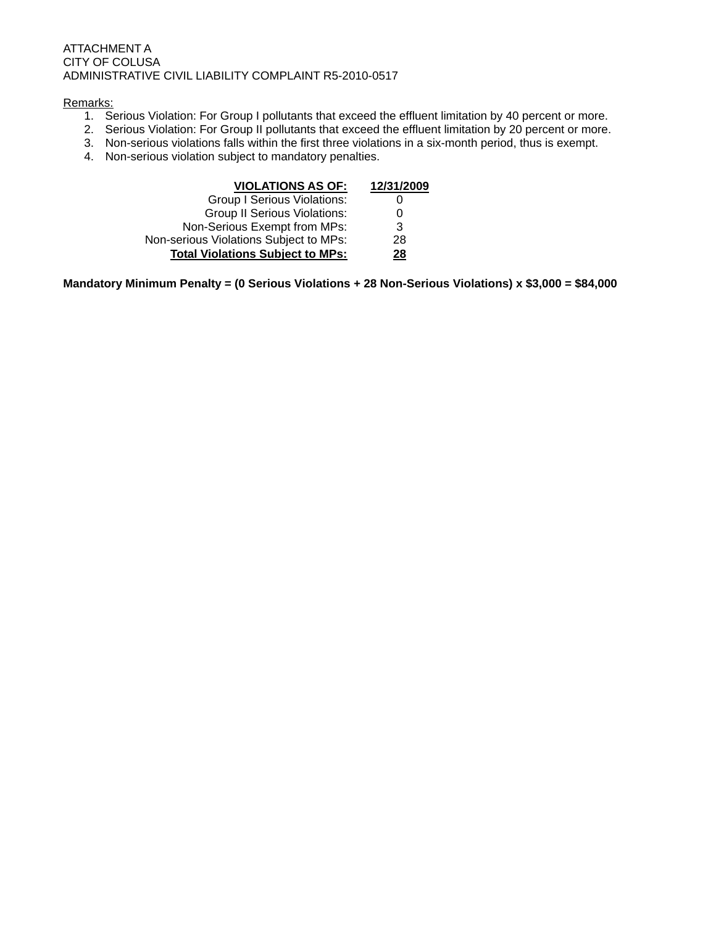#### ATTACHMENT A CITY OF COLUSA ADMINISTRATIVE CIVIL LIABILITY COMPLAINT R5-2010-0517

#### Remarks:

- 1. Serious Violation: For Group I pollutants that exceed the effluent limitation by 40 percent or more.
- 2. Serious Violation: For Group II pollutants that exceed the effluent limitation by 20 percent or more.
- 3. Non-serious violations falls within the first three violations in a six-month period, thus is exempt.
- 4. Non-serious violation subject to mandatory penalties.

| <b>VIOLATIONS AS OF:</b>                | 12/31/2009 |
|-----------------------------------------|------------|
| <b>Group I Serious Violations:</b>      |            |
| <b>Group II Serious Violations:</b>     | 0          |
| Non-Serious Exempt from MPs:            | 3          |
| Non-serious Violations Subject to MPs:  | 28         |
| <b>Total Violations Subject to MPs:</b> | <u> 28</u> |

**Mandatory Minimum Penalty = (0 Serious Violations + 28 Non-Serious Violations) x \$3,000 = \$84,000**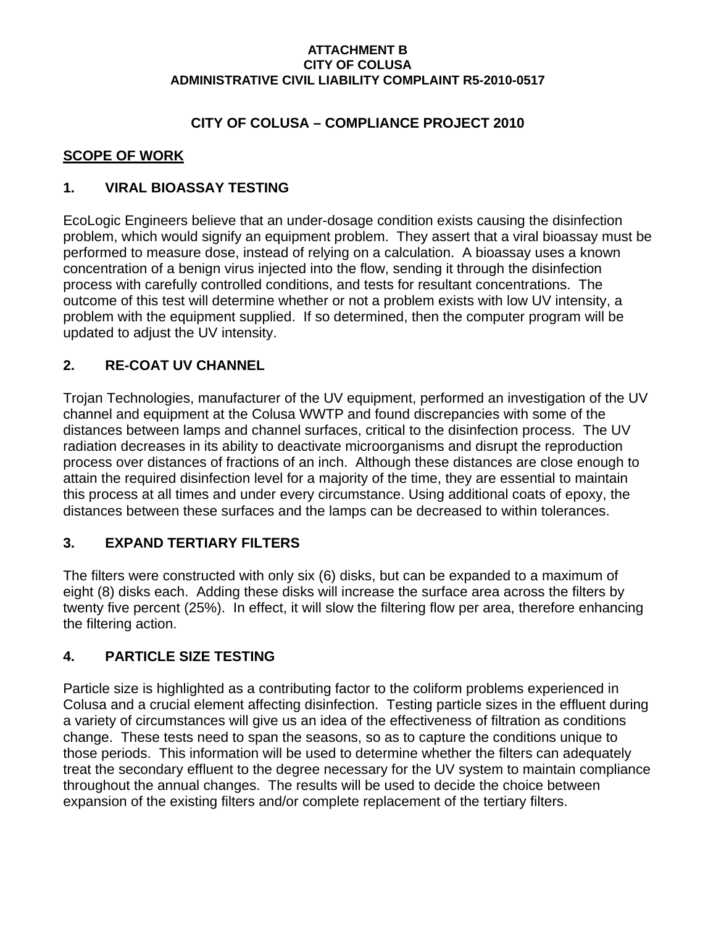### **ATTACHMENT B CITY OF COLUSA ADMINISTRATIVE CIVIL LIABILITY COMPLAINT R5-2010-0517**

## **CITY OF COLUSA – COMPLIANCE PROJECT 2010**

### **SCOPE OF WORK**

### **1. VIRAL BIOASSAY TESTING**

EcoLogic Engineers believe that an under-dosage condition exists causing the disinfection problem, which would signify an equipment problem. They assert that a viral bioassay must be performed to measure dose, instead of relying on a calculation. A bioassay uses a known concentration of a benign virus injected into the flow, sending it through the disinfection process with carefully controlled conditions, and tests for resultant concentrations. The outcome of this test will determine whether or not a problem exists with low UV intensity, a problem with the equipment supplied. If so determined, then the computer program will be updated to adjust the UV intensity.

# **2. RE-COAT UV CHANNEL**

Trojan Technologies, manufacturer of the UV equipment, performed an investigation of the UV channel and equipment at the Colusa WWTP and found discrepancies with some of the distances between lamps and channel surfaces, critical to the disinfection process. The UV radiation decreases in its ability to deactivate microorganisms and disrupt the reproduction process over distances of fractions of an inch. Although these distances are close enough to attain the required disinfection level for a majority of the time, they are essential to maintain this process at all times and under every circumstance. Using additional coats of epoxy, the distances between these surfaces and the lamps can be decreased to within tolerances.

# **3. EXPAND TERTIARY FILTERS**

The filters were constructed with only six (6) disks, but can be expanded to a maximum of eight (8) disks each. Adding these disks will increase the surface area across the filters by twenty five percent (25%). In effect, it will slow the filtering flow per area, therefore enhancing the filtering action.

### **4. PARTICLE SIZE TESTING**

Particle size is highlighted as a contributing factor to the coliform problems experienced in Colusa and a crucial element affecting disinfection. Testing particle sizes in the effluent during a variety of circumstances will give us an idea of the effectiveness of filtration as conditions change. These tests need to span the seasons, so as to capture the conditions unique to those periods. This information will be used to determine whether the filters can adequately treat the secondary effluent to the degree necessary for the UV system to maintain compliance throughout the annual changes. The results will be used to decide the choice between expansion of the existing filters and/or complete replacement of the tertiary filters.